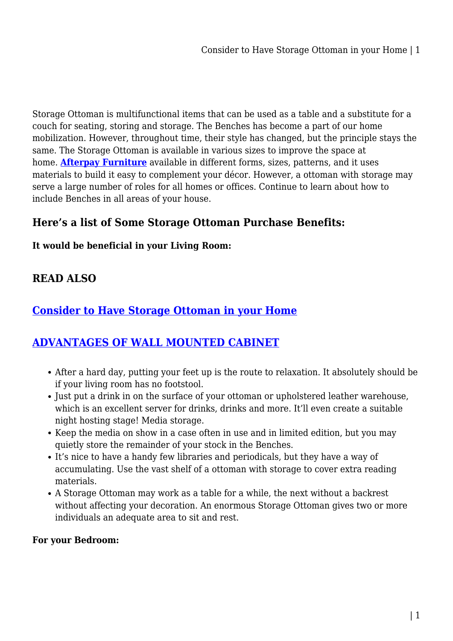Storage Ottoman is multifunctional items that can be used as a table and a substitute for a couch for seating, storing and storage. The Benches has become a part of our home mobilization. However, throughout time, their style has changed, but the principle stays the same. The Storage Ottoman is available in various sizes to improve the space at home. **[Afterpay Furniture](https://mattressoffers.com.au/storage-ottoman/)** available in different forms, sizes, patterns, and it uses materials to build it easy to complement your décor. However, a ottoman with storage may serve a large number of roles for all homes or offices. Continue to learn about how to include Benches in all areas of your house.

# **Here's a list of Some Storage Ottoman Purchase Benefits:**

#### **It would be beneficial in your Living Room:**

### **READ ALSO**

### **[Consider to Have Storage Ottoman in your Home](https://power-battery.com.au/consider-to-have-storage-ottoman-in-your-home/)**

### **[ADVANTAGES OF WALL MOUNTED CABINET](https://power-battery.com.au/advantages-of-wall-mounted-cabinet/)**

- After a hard day, putting your feet up is the route to relaxation. It absolutely should be if your living room has no footstool.
- Just put a drink in on the surface of your ottoman or upholstered leather warehouse, which is an excellent server for drinks, drinks and more. It'll even create a suitable night hosting stage! Media storage.
- Keep the media on show in a case often in use and in limited edition, but you may quietly store the remainder of your stock in the Benches.
- It's nice to have a handy few libraries and periodicals, but they have a way of accumulating. Use the vast shelf of a ottoman with storage to cover extra reading materials.
- A Storage Ottoman may work as a table for a while, the next without a backrest without affecting your decoration. An enormous Storage Ottoman gives two or more individuals an adequate area to sit and rest.

#### **For your Bedroom:**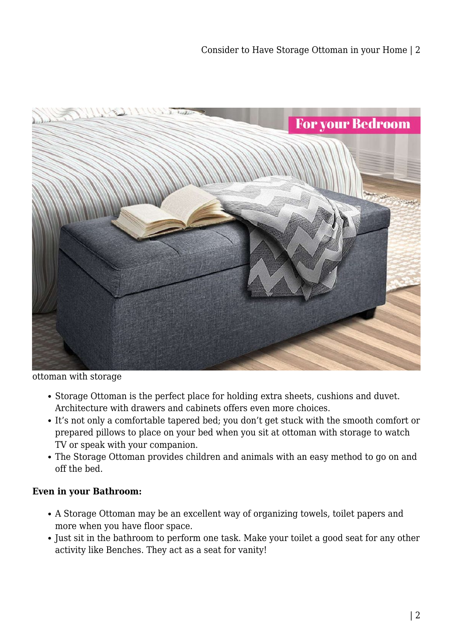

ottoman with storage

- Storage Ottoman is the perfect place for holding extra sheets, cushions and duvet. Architecture with drawers and cabinets offers even more choices.
- It's not only a comfortable tapered bed; you don't get stuck with the smooth comfort or prepared pillows to place on your bed when you sit at ottoman with storage to watch TV or speak with your companion.
- The Storage Ottoman provides children and animals with an easy method to go on and off the bed.

#### **Even in your Bathroom:**

- A Storage Ottoman may be an excellent way of organizing towels, toilet papers and more when you have floor space.
- Just sit in the bathroom to perform one task. Make your toilet a good seat for any other activity like Benches. They act as a seat for vanity!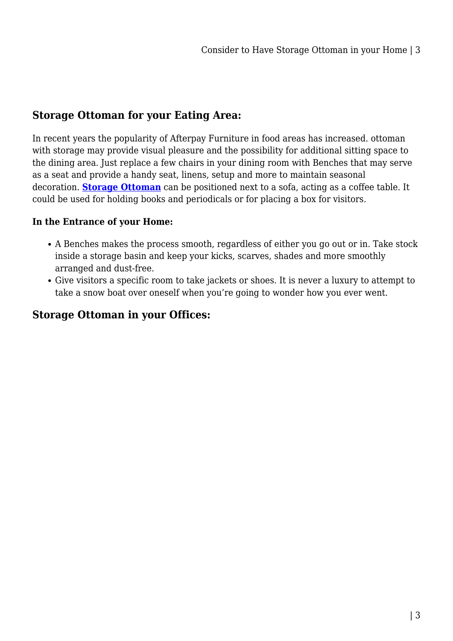# **Storage Ottoman for your Eating Area:**

In recent years the popularity of Afterpay Furniture in food areas has increased. ottoman with storage may provide visual pleasure and the possibility for additional sitting space to the dining area. Just replace a few chairs in your dining room with Benches that may serve as a seat and provide a handy seat, linens, setup and more to maintain seasonal decoration. **[Storage Ottoman](https://mattressoffers.com.au/storage-ottoman/)** can be positioned next to a sofa, acting as a coffee table. It could be used for holding books and periodicals or for placing a box for visitors.

#### **In the Entrance of your Home:**

- A Benches makes the process smooth, regardless of either you go out or in. Take stock inside a storage basin and keep your kicks, scarves, shades and more smoothly arranged and dust-free.
- Give visitors a specific room to take jackets or shoes. It is never a luxury to attempt to take a snow boat over oneself when you're going to wonder how you ever went.

### **Storage Ottoman in your Offices:**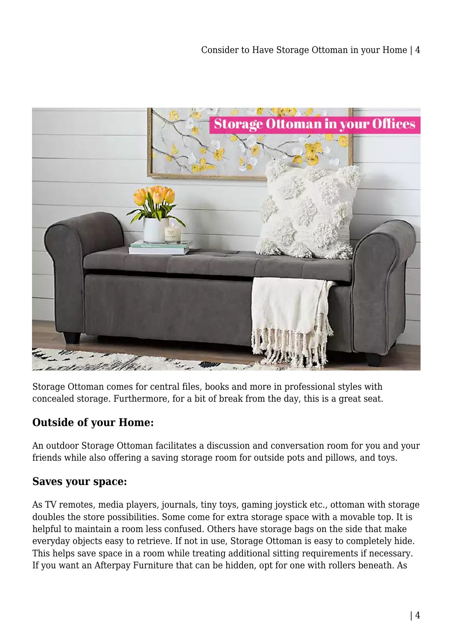

Storage Ottoman comes for central files, books and more in professional styles with concealed storage. Furthermore, for a bit of break from the day, this is a great seat.

# **Outside of your Home:**

An outdoor Storage Ottoman facilitates a discussion and conversation room for you and your friends while also offering a saving storage room for outside pots and pillows, and toys.

### **Saves your space:**

As TV remotes, media players, journals, tiny toys, gaming joystick etc., ottoman with storage doubles the store possibilities. Some come for extra storage space with a movable top. It is helpful to maintain a room less confused. Others have storage bags on the side that make everyday objects easy to retrieve. If not in use, Storage Ottoman is easy to completely hide. This helps save space in a room while treating additional sitting requirements if necessary. If you want an Afterpay Furniture that can be hidden, opt for one with rollers beneath. As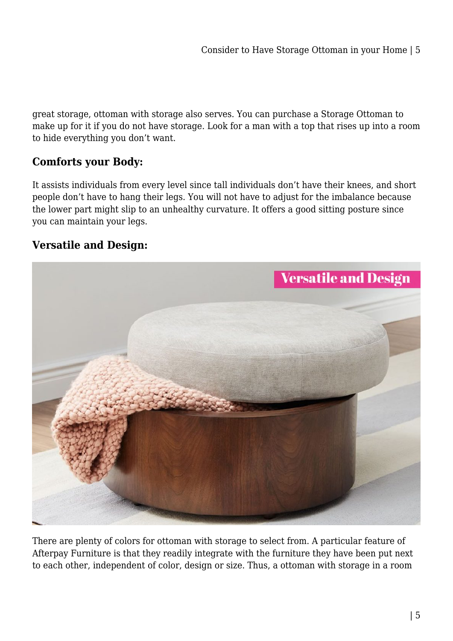great storage, ottoman with storage also serves. You can purchase a Storage Ottoman to make up for it if you do not have storage. Look for a man with a top that rises up into a room to hide everything you don't want.

# **Comforts your Body:**

It assists individuals from every level since tall individuals don't have their knees, and short people don't have to hang their legs. You will not have to adjust for the imbalance because the lower part might slip to an unhealthy curvature. It offers a good sitting posture since you can maintain your legs.

# **Versatile and Design:**



There are plenty of colors for ottoman with storage to select from. A particular feature of Afterpay Furniture is that they readily integrate with the furniture they have been put next to each other, independent of color, design or size. Thus, a ottoman with storage in a room